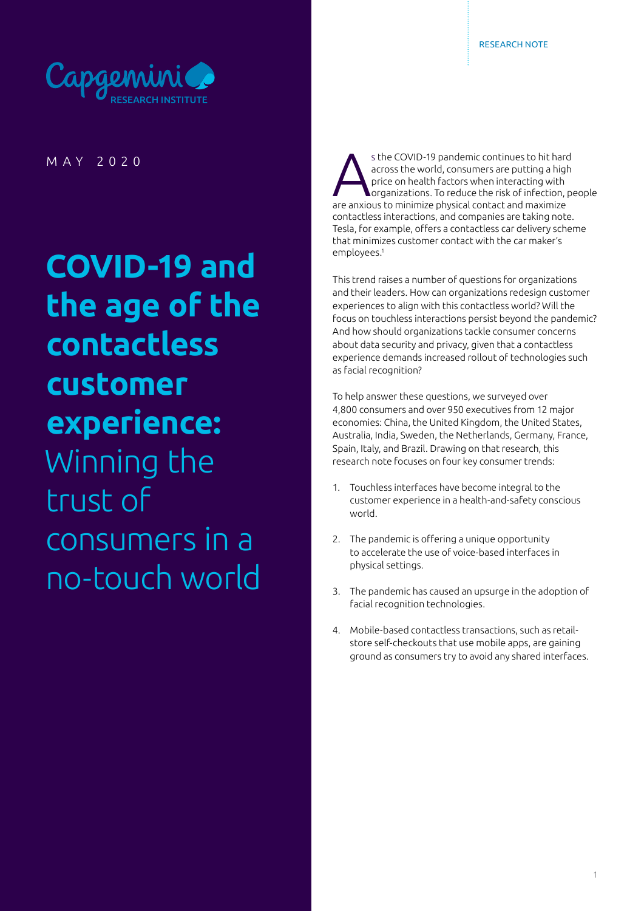RESEARCH NOTE



MAY 2020

**COVID-19 and the age of the contactless customer experience:**  Winning the trust of consumers in a no-touch world

s the COVID-19 pandemic continues to hit hard<br>across the world, consumers are putting a high<br>price on health factors when interacting with<br>organizations. To reduce the risk of infection, p<br>are anxious to minimize physical across the world, consumers are putting a high price on health factors when interacting with organizations. To reduce the risk of infection, people are anxious to minimize physical contact and maximize contactless interactions, and companies are taking note. Tesla, for example, offers a contactless car delivery scheme that minimizes customer contact with the car maker's employees.1

This trend raises a number of questions for organizations and their leaders. How can organizations redesign customer experiences to align with this contactless world? Will the focus on touchless interactions persist beyond the pandemic? And how should organizations tackle consumer concerns about data security and privacy, given that a contactless experience demands increased rollout of technologies such as facial recognition?

To help answer these questions, we surveyed over 4,800 consumers and over 950 executives from 12 major economies: China, the United Kingdom, the United States, Australia, India, Sweden, the Netherlands, Germany, France, Spain, Italy, and Brazil. Drawing on that research, this research note focuses on four key consumer trends:

- 1. Touchless interfaces have become integral to the customer experience in a health-and-safety conscious world.
- 2. The pandemic is offering a unique opportunity to accelerate the use of voice-based interfaces in physical settings.
- 3. The pandemic has caused an upsurge in the adoption of facial recognition technologies.
- 4. Mobile-based contactless transactions, such as retailstore self-checkouts that use mobile apps, are gaining ground as consumers try to avoid any shared interfaces.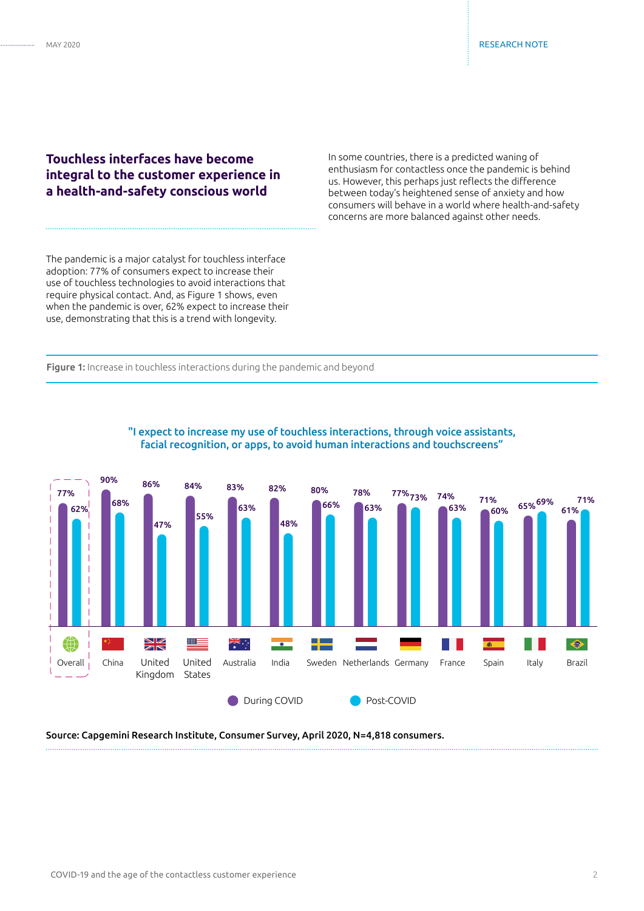# **Touchless interfaces have become integral to the customer experience in a health-and-safety conscious world**

In some countries, there is a predicted waning of enthusiasm for contactless once the pandemic is behind us. However, this perhaps just reflects the difference between today's heightened sense of anxiety and how consumers will behave in a world where health-and-safety concerns are more balanced against other needs.

The pandemic is a major catalyst for touchless interface adoption: 77% of consumers expect to increase their use of touchless technologies to avoid interactions that require physical contact. And, as Figure 1 shows, even when the pandemic is over, 62% expect to increase their use, demonstrating that this is a trend with longevity.

#### Figure 1: Increase in touchless interactions during the pandemic and beyond



# "I expect to increase my use of touchless interactions, through voice assistants, facial recognition, or apps, to avoid human interactions and touchscreens"

#### Source: Capgemini Research Institute, Consumer Survey, April 2020, N=4,818 consumers.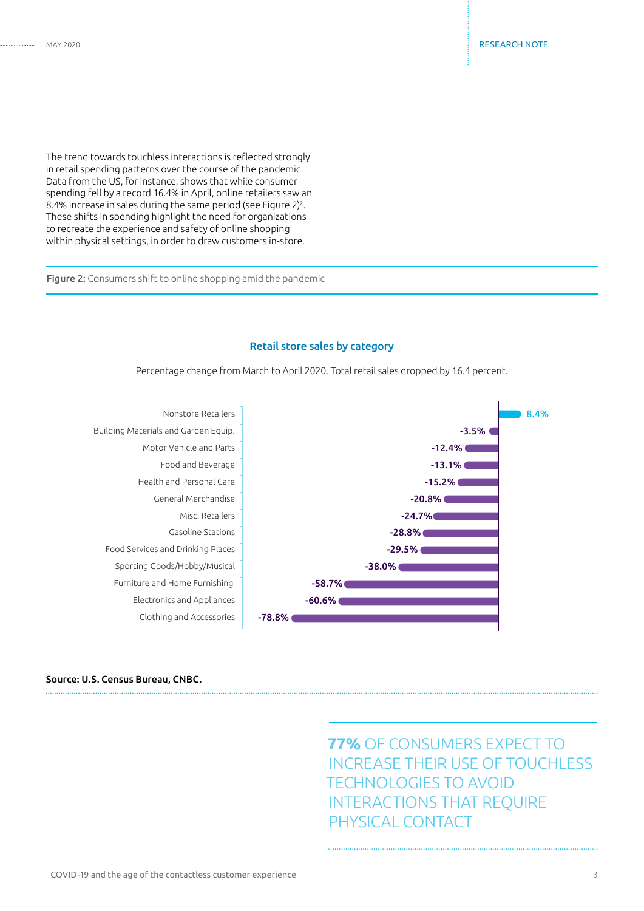8.4%

The trend towards touchless interactions is reflected strongly in retail spending patterns over the course of the pandemic. Data from the US, for instance, shows that while consumer spending fell by a record 16.4% in April, online retailers saw an 8.4% increase in sales during the same period (see Figure 2)2. These shifts in spending highlight the need for organizations to recreate the experience and safety of online shopping within physical settings, in order to draw customers in-store.

Figure 2: Consumers shift to online shopping amid the pandemic



Percentage change from March to April 2020. Total retail sales dropped by 16.4 percent.



Source: U.S. Census Bureau, CNBC.

**77%** OF CONSUMERS EXPECT TO INCREASE THEIR USE OF TOUCHLESS TECHNOLOGIES TO AVOID INTERACTIONS THAT REQUIRE PHYSICAL CONTACT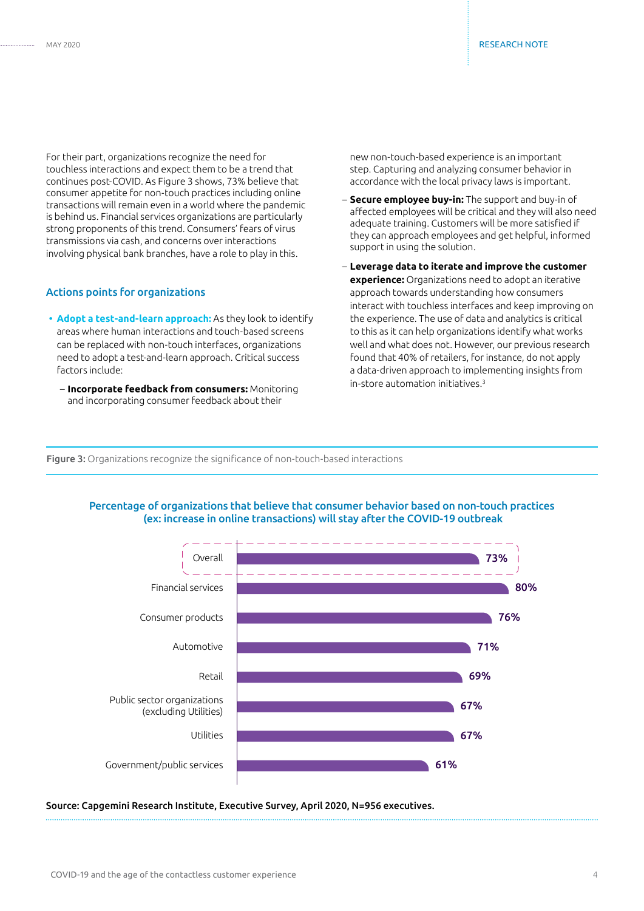For their part, organizations recognize the need for touchless interactions and expect them to be a trend that continues post-COVID. As Figure 3 shows, 73% believe that consumer appetite for non-touch practices including online transactions will remain even in a world where the pandemic is behind us. Financial services organizations are particularly strong proponents of this trend. Consumers' fears of virus transmissions via cash, and concerns over interactions involving physical bank branches, have a role to play in this.

## Actions points for organizations

- **• Adopt a test-and-learn approach:** As they look to identify areas where human interactions and touch-based screens can be replaced with non-touch interfaces, organizations need to adopt a test-and-learn approach. Critical success factors include:
	- **Incorporate feedback from consumers:** Monitoring and incorporating consumer feedback about their

new non-touch-based experience is an important step. Capturing and analyzing consumer behavior in accordance with the local privacy laws is important.

- **Secure employee buy-in:** The support and buy-in of affected employees will be critical and they will also need adequate training. Customers will be more satisfied if they can approach employees and get helpful, informed support in using the solution.
- **Leverage data to iterate and improve the customer experience:** Organizations need to adopt an iterative approach towards understanding how consumers interact with touchless interfaces and keep improving on the experience. The use of data and analytics is critical to this as it can help organizations identify what works well and what does not. However, our previous research found that 40% of retailers, for instance, do not apply a data-driven approach to implementing insights from in-store automation initiatives.<sup>3</sup>

Figure 3: Organizations recognize the significance of non-touch-based interactions





#### Source: Capgemini Research Institute, Executive Survey, April 2020, N=956 executives.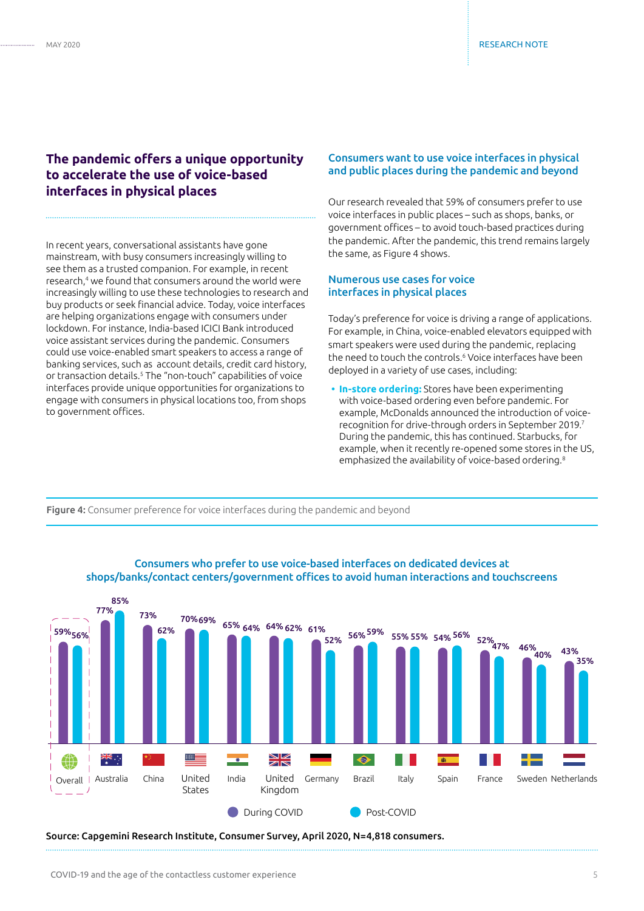# **The pandemic offers a unique opportunity to accelerate the use of voice-based interfaces in physical places**

In recent years, conversational assistants have gone mainstream, with busy consumers increasingly willing to see them as a trusted companion. For example, in recent research,4 we found that consumers around the world were increasingly willing to use these technologies to research and buy products or seek financial advice. Today, voice interfaces are helping organizations engage with consumers under lockdown. For instance, India-based ICICI Bank introduced voice assistant services during the pandemic. Consumers could use voice-enabled smart speakers to access a range of banking services, such as account details, credit card history, or transaction details.<sup>5</sup> The "non-touch" capabilities of voice interfaces provide unique opportunities for organizations to engage with consumers in physical locations too, from shops to government offices.

# Consumers want to use voice interfaces in physical and public places during the pandemic and beyond

Our research revealed that 59% of consumers prefer to use voice interfaces in public places – such as shops, banks, or government offices – to avoid touch-based practices during the pandemic. After the pandemic, this trend remains largely the same, as Figure 4 shows.

# Numerous use cases for voice interfaces in physical places

Today's preference for voice is driving a range of applications. For example, in China, voice-enabled elevators equipped with smart speakers were used during the pandemic, replacing the need to touch the controls.<sup>6</sup> Voice interfaces have been deployed in a variety of use cases, including:

**• In-store ordering:** Stores have been experimenting with voice-based ordering even before pandemic. For example, McDonalds announced the introduction of voicerecognition for drive-through orders in September 2019.<sup>7</sup> During the pandemic, this has continued. Starbucks, for example, when it recently re-opened some stores in the US, emphasized the availability of voice-based ordering.<sup>8</sup>

Figure 4: Consumer preference for voice interfaces during the pandemic and beyond



# Consumers who prefer to use voice-based interfaces on dedicated devices at shops/banks/contact centers/government offices to avoid human interactions and touchscreens

Source: Capgemini Research Institute, Consumer Survey, April 2020, N=4,818 consumers.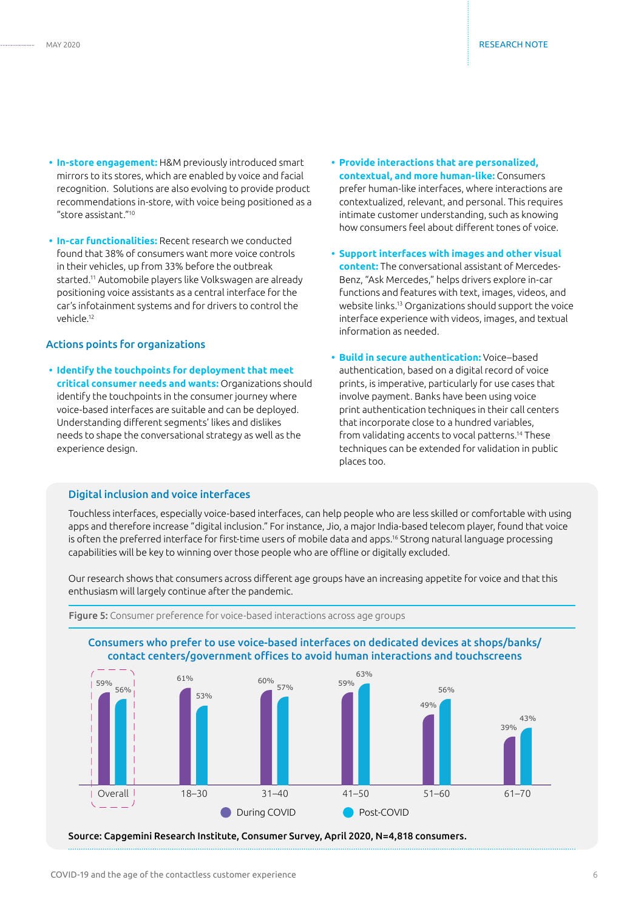- **• In-store engagement:** H&M previously introduced smart mirrors to its stores, which are enabled by voice and facial recognition. Solutions are also evolving to provide product recommendations in-store, with voice being positioned as a "store assistant."10
- **• In-car functionalities:** Recent research we conducted found that 38% of consumers want more voice controls in their vehicles, up from 33% before the outbreak started.11 Automobile players like Volkswagen are already positioning voice assistants as a central interface for the car's infotainment systems and for drivers to control the vehicle.<sup>12</sup>

## Actions points for organizations

**• Identify the touchpoints for deployment that meet critical consumer needs and wants:** Organizations should identify the touchpoints in the consumer journey where voice-based interfaces are suitable and can be deployed. Understanding different segments' likes and dislikes needs to shape the conversational strategy as well as the experience design.

- **• Provide interactions that are personalized, contextual, and more human-like:** Consumers prefer human-like interfaces, where interactions are contextualized, relevant, and personal. This requires intimate customer understanding, such as knowing how consumers feel about different tones of voice.
- **• Support interfaces with images and other visual content:** The conversational assistant of Mercedes-Benz, "Ask Mercedes," helps drivers explore in-car functions and features with text, images, videos, and website links.13 Organizations should support the voice interface experience with videos, images, and textual information as needed.
- **• Build in secure authentication:** Voice–based authentication, based on a digital record of voice prints, is imperative, particularly for use cases that involve payment. Banks have been using voice print authentication techniques in their call centers that incorporate close to a hundred variables, from validating accents to vocal patterns.14 These techniques can be extended for validation in public places too.

## Digital inclusion and voice interfaces

Touchless interfaces, especially voice-based interfaces, can help people who are less skilled or comfortable with using apps and therefore increase "digital inclusion." For instance, Jio, a major India-based telecom player, found that voice is often the preferred interface for first-time users of mobile data and apps.16 Strong natural language processing capabilities will be key to winning over those people who are offline or digitally excluded.

Our research shows that consumers across different age groups have an increasing appetite for voice and that this enthusiasm will largely continue after the pandemic.



Figure 5: Consumer preference for voice-based interactions across age groups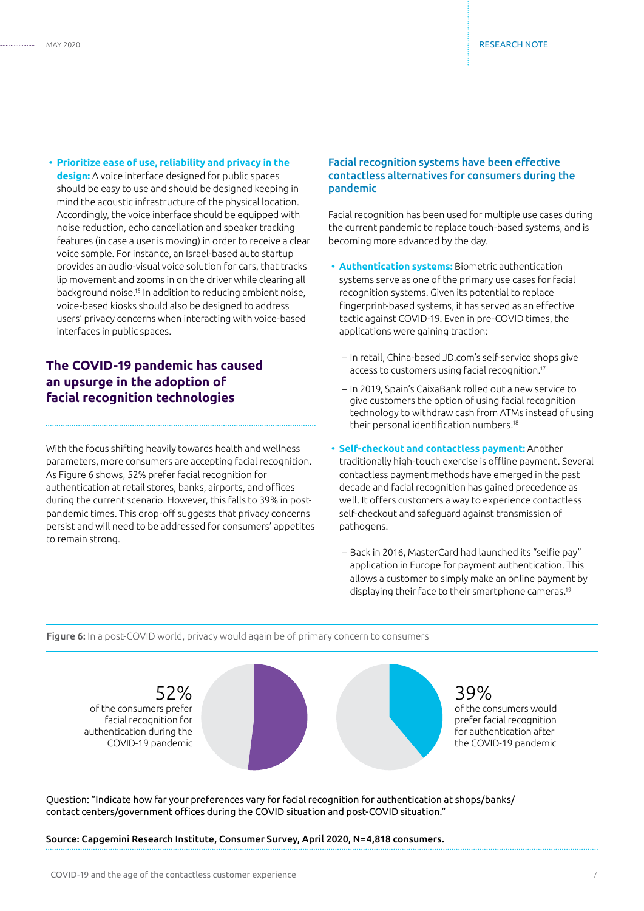**• Prioritize ease of use, reliability and privacy in the design:** A voice interface designed for public spaces should be easy to use and should be designed keeping in mind the acoustic infrastructure of the physical location. Accordingly, the voice interface should be equipped with noise reduction, echo cancellation and speaker tracking features (in case a user is moving) in order to receive a clear voice sample. For instance, an Israel-based auto startup provides an audio-visual voice solution for cars, that tracks lip movement and zooms in on the driver while clearing all background noise.15 In addition to reducing ambient noise, voice-based kiosks should also be designed to address users' privacy concerns when interacting with voice-based interfaces in public spaces.

# **The COVID-19 pandemic has caused an upsurge in the adoption of facial recognition technologies**

With the focus shifting heavily towards health and wellness parameters, more consumers are accepting facial recognition. As Figure 6 shows, 52% prefer facial recognition for authentication at retail stores, banks, airports, and offices during the current scenario. However, this falls to 39% in postpandemic times. This drop-off suggests that privacy concerns persist and will need to be addressed for consumers' appetites to remain strong.

# Facial recognition systems have been effective contactless alternatives for consumers during the pandemic

Facial recognition has been used for multiple use cases during the current pandemic to replace touch-based systems, and is becoming more advanced by the day.

- **• Authentication systems:** Biometric authentication systems serve as one of the primary use cases for facial recognition systems. Given its potential to replace fingerprint-based systems, it has served as an effective tactic against COVID-19. Even in pre-COVID times, the applications were gaining traction:
	- In retail, China-based JD.com's self-service shops give access to customers using facial recognition.17
	- In 2019, Spain's CaixaBank rolled out a new service to give customers the option of using facial recognition technology to withdraw cash from ATMs instead of using their personal identification numbers.<sup>18</sup>
- **• Self-checkout and contactless payment:** Another traditionally high-touch exercise is offline payment. Several contactless payment methods have emerged in the past decade and facial recognition has gained precedence as well. It offers customers a way to experience contactless self-checkout and safeguard against transmission of pathogens.
	- Back in 2016, MasterCard had launched its "selfie pay" application in Europe for payment authentication. This allows a customer to simply make an online payment by displaying their face to their smartphone cameras.19

Figure 6: In a post-COVID world, privacy would again be of primary concern to consumers

39% of the consumers would prefer facial recognition for authentication after the COVID-19 pandemic 52% of the consumers prefer facial recognition for authentication during the COVID-19 pandemic

Question: "Indicate how far your preferences vary for facial recognition for authentication at shops/banks/ contact centers/government offices during the COVID situation and post-COVID situation."

Source: Capgemini Research Institute, Consumer Survey, April 2020, N=4,818 consumers.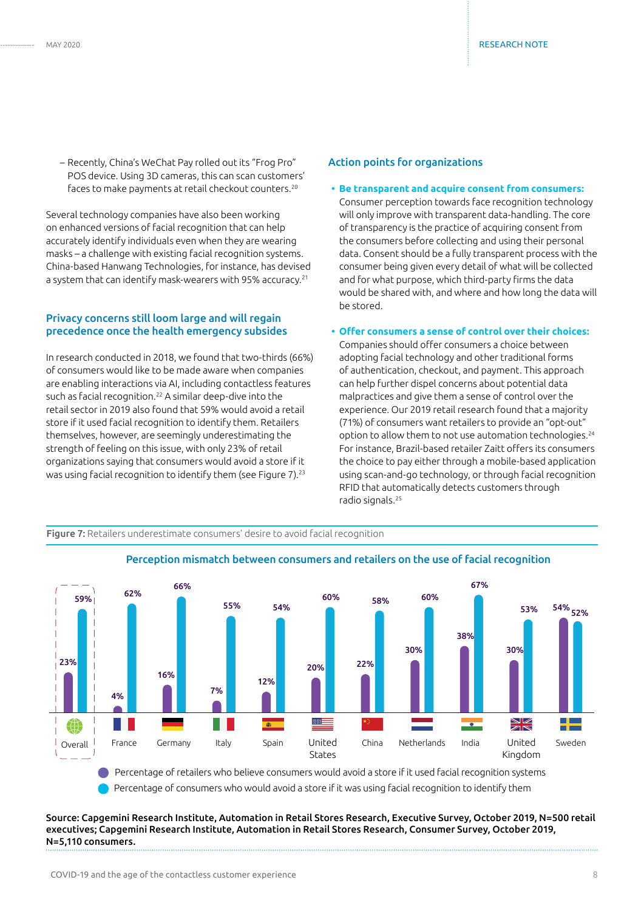– Recently, China's WeChat Pay rolled out its "Frog Pro" POS device. Using 3D cameras, this can scan customers' faces to make payments at retail checkout counters.20

Several technology companies have also been working on enhanced versions of facial recognition that can help accurately identify individuals even when they are wearing masks – a challenge with existing facial recognition systems. China-based Hanwang Technologies, for instance, has devised a system that can identify mask-wearers with 95% accuracy.<sup>21</sup>

## Privacy concerns still loom large and will regain precedence once the health emergency subsides

In research conducted in 2018, we found that two-thirds (66%) of consumers would like to be made aware when companies are enabling interactions via AI, including contactless features such as facial recognition.<sup>22</sup> A similar deep-dive into the retail sector in 2019 also found that 59% would avoid a retail store if it used facial recognition to identify them. Retailers themselves, however, are seemingly underestimating the strength of feeling on this issue, with only 23% of retail organizations saying that consumers would avoid a store if it was using facial recognition to identify them (see Figure 7).<sup>23</sup>

## Action points for organizations

**• Be transparent and acquire consent from consumers:** Consumer perception towards face recognition technology will only improve with transparent data-handling. The core of transparency is the practice of acquiring consent from the consumers before collecting and using their personal data. Consent should be a fully transparent process with the consumer being given every detail of what will be collected and for what purpose, which third-party firms the data would be shared with, and where and how long the data will be stored.

#### **• Offer consumers a sense of control over their choices:**

Companies should offer consumers a choice between adopting facial technology and other traditional forms of authentication, checkout, and payment. This approach can help further dispel concerns about potential data malpractices and give them a sense of control over the experience. Our 2019 retail research found that a majority (71%) of consumers want retailers to provide an "opt-out" option to allow them to not use automation technologies.24 For instance, Brazil-based retailer Zaitt offers its consumers the choice to pay either through a mobile-based application using scan-and-go technology, or through facial recognition RFID that automatically detects customers through radio signals.<sup>25</sup>



## Figure 7: Retailers underestimate consumers' desire to avoid facial recognition

Percentage of retailers who believe consumers would avoid a store if it used facial recognition systems Percentage of consumers who would avoid a store if it was using facial recognition to identify them

Source: Capgemini Research Institute, Automation in Retail Stores Research, Executive Survey, October 2019, N=500 retail executives; Capgemini Research Institute, Automation in Retail Stores Research, Consumer Survey, October 2019, N=5,110 consumers.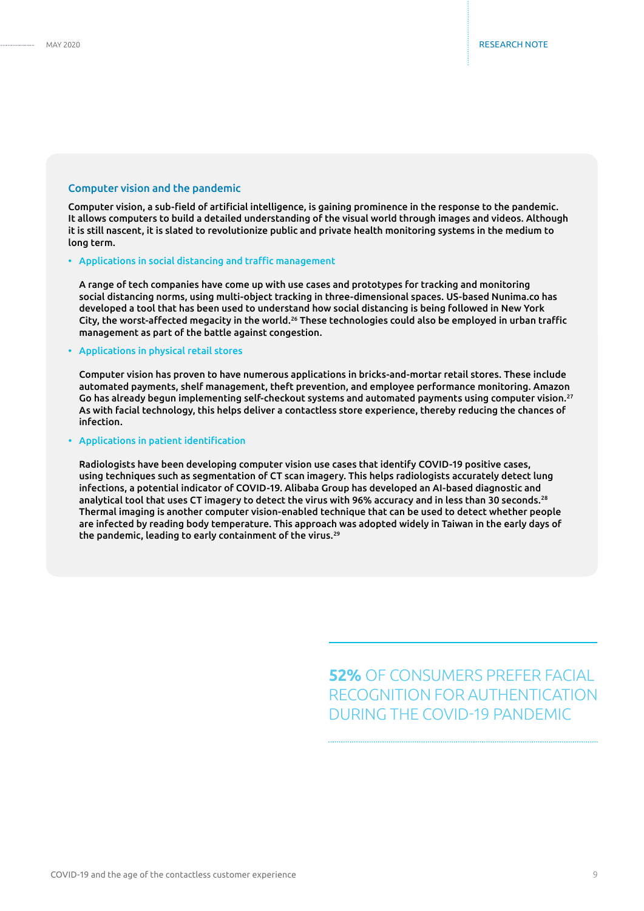#### Computer vision and the pandemic

Computer vision, a sub-field of artificial intelligence, is gaining prominence in the response to the pandemic. It allows computers to build a detailed understanding of the visual world through images and videos. Although it is still nascent, it is slated to revolutionize public and private health monitoring systems in the medium to long term.

#### • Applications in social distancing and traffic management

A range of tech companies have come up with use cases and prototypes for tracking and monitoring social distancing norms, using multi-object tracking in three-dimensional spaces. US-based Nunima.co has developed a tool that has been used to understand how social distancing is being followed in New York City, the worst-affected megacity in the world.26 These technologies could also be employed in urban traffic management as part of the battle against congestion.

#### • Applications in physical retail stores

Computer vision has proven to have numerous applications in bricks-and-mortar retail stores. These include automated payments, shelf management, theft prevention, and employee performance monitoring. Amazon Go has already begun implementing self-checkout systems and automated payments using computer vision.27 As with facial technology, this helps deliver a contactless store experience, thereby reducing the chances of infection.

#### • Applications in patient identification

Radiologists have been developing computer vision use cases that identify COVID-19 positive cases, using techniques such as segmentation of CT scan imagery. This helps radiologists accurately detect lung infections, a potential indicator of COVID-19. Alibaba Group has developed an AI-based diagnostic and analytical tool that uses CT imagery to detect the virus with 96% accuracy and in less than 30 seconds.<sup>28</sup> Thermal imaging is another computer vision-enabled technique that can be used to detect whether people are infected by reading body temperature. This approach was adopted widely in Taiwan in the early days of the pandemic, leading to early containment of the virus.<sup>29</sup>

> **52%** OF CONSUMERS PREFER FACIAL RECOGNITION FOR AUTHENTICATION DURING THE COVID-19 PANDEMIC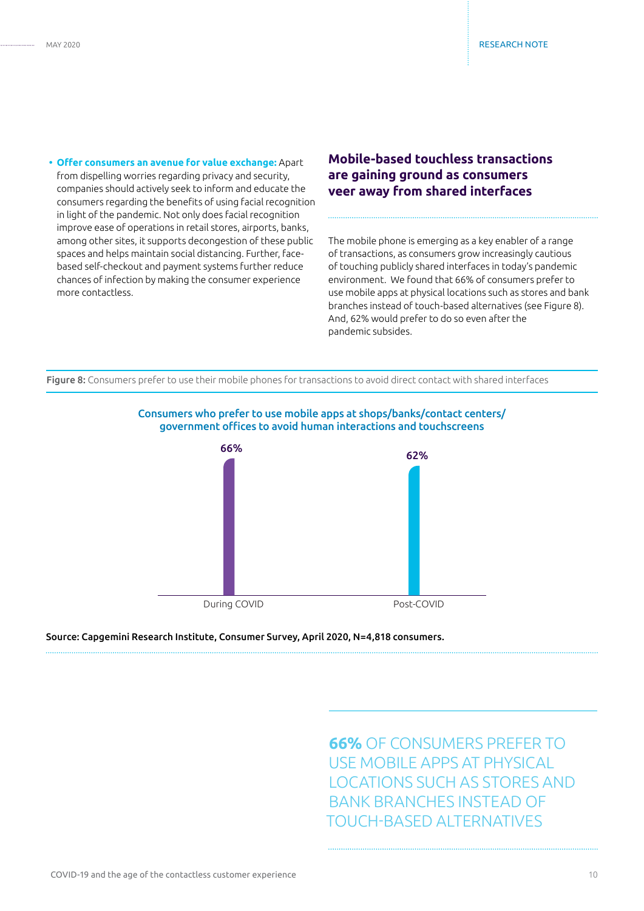**• Offer consumers an avenue for value exchange:** Apart from dispelling worries regarding privacy and security, companies should actively seek to inform and educate the consumers regarding the benefits of using facial recognition in light of the pandemic. Not only does facial recognition improve ease of operations in retail stores, airports, banks, among other sites, it supports decongestion of these public spaces and helps maintain social distancing. Further, facebased self-checkout and payment systems further reduce chances of infection by making the consumer experience more contactless.

# **Mobile-based touchless transactions are gaining ground as consumers veer away from shared interfaces**

The mobile phone is emerging as a key enabler of a range of transactions, as consumers grow increasingly cautious of touching publicly shared interfaces in today's pandemic environment. We found that 66% of consumers prefer to use mobile apps at physical locations such as stores and bank branches instead of touch-based alternatives (see Figure 8). And, 62% would prefer to do so even after the pandemic subsides.

Figure 8: Consumers prefer to use their mobile phones for transactions to avoid direct contact with shared interfaces



## Consumers who prefer to use mobile apps at shops/banks/contact centers/ government offices to avoid human interactions and touchscreens

Source: Capgemini Research Institute, Consumer Survey, April 2020, N=4,818 consumers.

**66%** OF CONSUMERS PREFER TO USE MOBILE APPS AT PHYSICAL LOCATIONS SUCH AS STORES AND BANK BRANCHES INSTEAD OF TOUCH-BASED ALTERNATIVES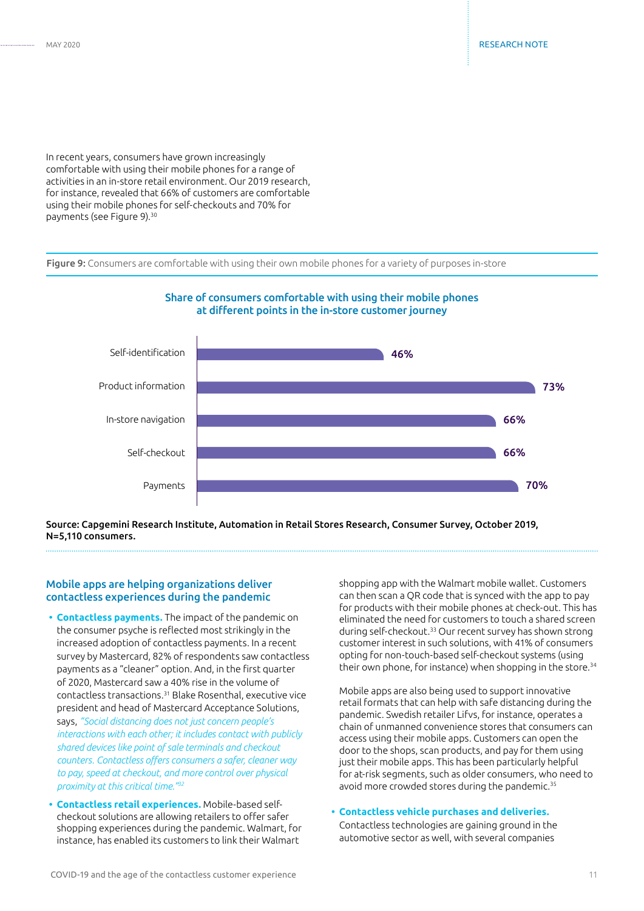In recent years, consumers have grown increasingly comfortable with using their mobile phones for a range of activities in an in-store retail environment. Our 2019 research, for instance, revealed that 66% of customers are comfortable using their mobile phones for self-checkouts and 70% for payments (see Figure 9).30

Figure 9: Consumers are comfortable with using their own mobile phones for a variety of purposes in-store



Share of consumers comfortable with using their mobile phones

Source: Capgemini Research Institute, Automation in Retail Stores Research, Consumer Survey, October 2019, N=5,110 consumers.

## Mobile apps are helping organizations deliver contactless experiences during the pandemic

- **• Contactless payments.** The impact of the pandemic on the consumer psyche is reflected most strikingly in the increased adoption of contactless payments. In a recent survey by Mastercard, 82% of respondents saw contactless payments as a "cleaner" option. And, in the first quarter of 2020, Mastercard saw a 40% rise in the volume of contactless transactions.31 Blake Rosenthal, executive vice president and head of Mastercard Acceptance Solutions, says, *"Social distancing does not just concern people's interactions with each other; it includes contact with publicly shared devices like point of sale terminals and checkout counters. Contactless offers consumers a safer, cleaner way to pay, speed at checkout, and more control over physical proximity at this critical time."32*
- **• Contactless retail experiences.** Mobile-based selfcheckout solutions are allowing retailers to offer safer shopping experiences during the pandemic. Walmart, for instance, has enabled its customers to link their Walmart

shopping app with the Walmart mobile wallet. Customers can then scan a QR code that is synced with the app to pay for products with their mobile phones at check-out. This has eliminated the need for customers to touch a shared screen during self-checkout.33 Our recent survey has shown strong customer interest in such solutions, with 41% of consumers opting for non-touch-based self-checkout systems (using their own phone, for instance) when shopping in the store.<sup>34</sup>

Mobile apps are also being used to support innovative retail formats that can help with safe distancing during the pandemic. Swedish retailer Lifvs, for instance, operates a chain of unmanned convenience stores that consumers can access using their mobile apps. Customers can open the door to the shops, scan products, and pay for them using just their mobile apps. This has been particularly helpful for at-risk segments, such as older consumers, who need to avoid more crowded stores during the pandemic.<sup>35</sup>

# **• Contactless vehicle purchases and deliveries.**

Contactless technologies are gaining ground in the automotive sector as well, with several companies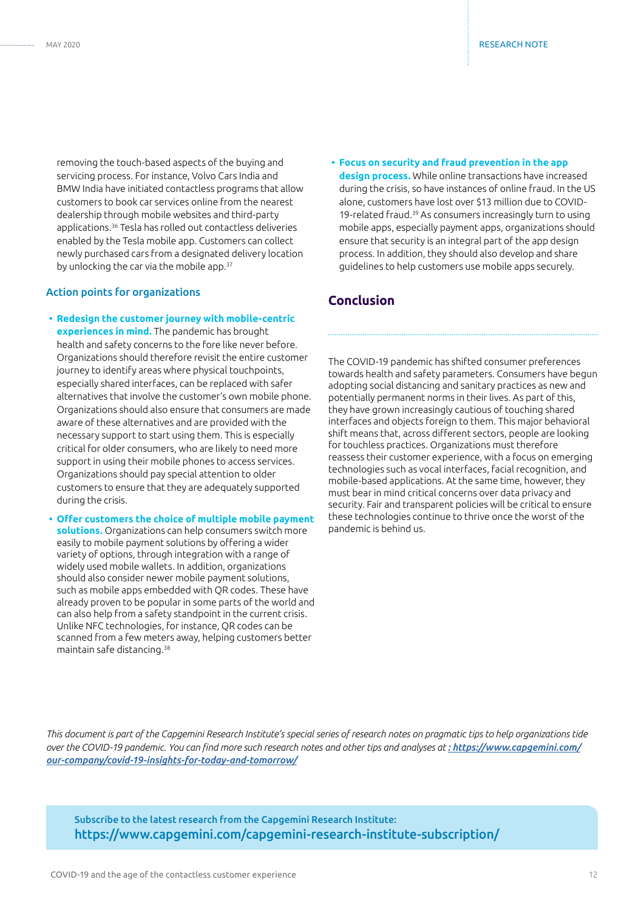removing the touch-based aspects of the buying and servicing process. For instance, Volvo Cars India and BMW India have initiated contactless programs that allow customers to book car services online from the nearest dealership through mobile websites and third-party applications.36 Tesla has rolled out contactless deliveries enabled by the Tesla mobile app. Customers can collect newly purchased cars from a designated delivery location by unlocking the car via the mobile app.<sup>37</sup>

## Action points for organizations

- **• Redesign the customer journey with mobile-centric experiences in mind.** The pandemic has brought health and safety concerns to the fore like never before. Organizations should therefore revisit the entire customer journey to identify areas where physical touchpoints, especially shared interfaces, can be replaced with safer alternatives that involve the customer's own mobile phone. Organizations should also ensure that consumers are made aware of these alternatives and are provided with the necessary support to start using them. This is especially critical for older consumers, who are likely to need more support in using their mobile phones to access services. Organizations should pay special attention to older customers to ensure that they are adequately supported during the crisis.
- **• Offer customers the choice of multiple mobile payment solutions.** Organizations can help consumers switch more easily to mobile payment solutions by offering a wider variety of options, through integration with a range of widely used mobile wallets. In addition, organizations should also consider newer mobile payment solutions, such as mobile apps embedded with QR codes. These have already proven to be popular in some parts of the world and can also help from a safety standpoint in the current crisis. Unlike NFC technologies, for instance, QR codes can be scanned from a few meters away, helping customers better maintain safe distancing.38

**• Focus on security and fraud prevention in the app design process.** While online transactions have increased during the crisis, so have instances of online fraud. In the US alone, customers have lost over \$13 million due to COVID-19-related fraud.39 As consumers increasingly turn to using mobile apps, especially payment apps, organizations should ensure that security is an integral part of the app design process. In addition, they should also develop and share guidelines to help customers use mobile apps securely.

# **Conclusion**

The COVID-19 pandemic has shifted consumer preferences towards health and safety parameters. Consumers have begun adopting social distancing and sanitary practices as new and potentially permanent norms in their lives. As part of this, they have grown increasingly cautious of touching shared interfaces and objects foreign to them. This major behavioral shift means that, across different sectors, people are looking for touchless practices. Organizations must therefore reassess their customer experience, with a focus on emerging technologies such as vocal interfaces, facial recognition, and mobile-based applications. At the same time, however, they must bear in mind critical concerns over data privacy and security. Fair and transparent policies will be critical to ensure these technologies continue to thrive once the worst of the pandemic is behind us.

*This document is part of the Capgemini Research Institute's special series of research notes on pragmatic tips to help organizations tide over the COVID-19 pandemic. You can find more such research notes and other tips and analyses at : [https://www.capgemini.com/](https://www.capgemini.com/our-company/covid-19-insights-for-today-and-tomorrow/) [our-company/covid-19-insights-for-today-and-tomorrow/](https://www.capgemini.com/our-company/covid-19-insights-for-today-and-tomorrow/)*

Subscribe to the latest research from the Capgemini Research Institute: https://www.capgemini.com/capgemini-research-institute-subscription/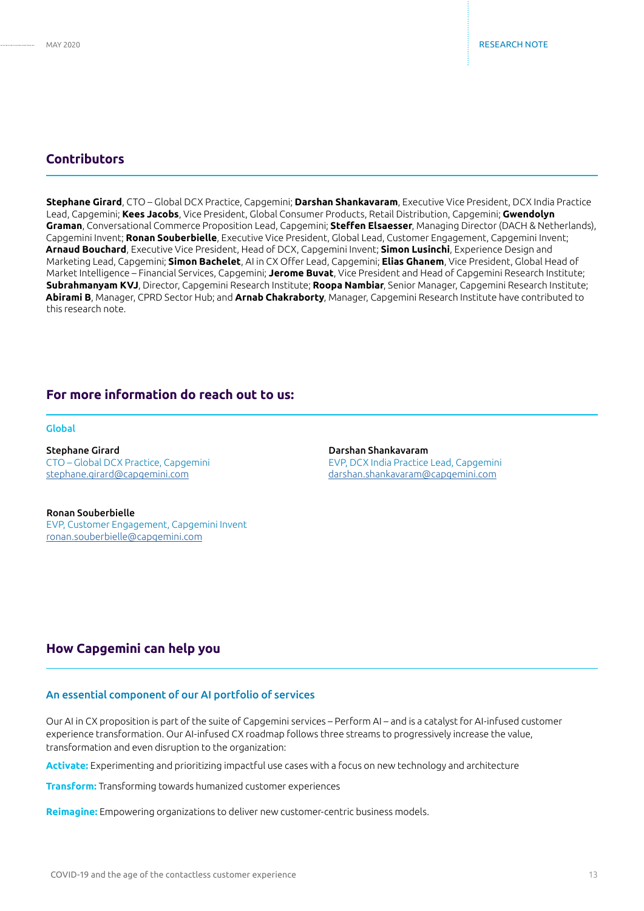# **Contributors**

**Stephane Girard**, CTO – Global DCX Practice, Capgemini; **Darshan Shankavaram**, Executive Vice President, DCX India Practice Lead, Capgemini; **Kees Jacobs**, Vice President, Global Consumer Products, Retail Distribution, Capgemini; **Gwendolyn Graman**, Conversational Commerce Proposition Lead, Capgemini; **Steffen Elsaesser**, Managing Director (DACH & Netherlands), Capgemini Invent; **Ronan Souberbielle**, Executive Vice President, Global Lead, Customer Engagement, Capgemini Invent; **Arnaud Bouchard**, Executive Vice President, Head of DCX, Capgemini Invent; **Simon Lusinchi**, Experience Design and Marketing Lead, Capgemini; **Simon Bachelet**, AI in CX Offer Lead, Capgemini; **Elias Ghanem**, Vice President, Global Head of Market Intelligence – Financial Services, Capgemini; **Jerome Buvat**, Vice President and Head of Capgemini Research Institute; **Subrahmanyam KVJ**, Director, Capgemini Research Institute; **Roopa Nambiar**, Senior Manager, Capgemini Research Institute; **Abirami B**, Manager, CPRD Sector Hub; and **Arnab Chakraborty**, Manager, Capgemini Research Institute have contributed to this research note.

# **For more information do reach out to us:**

#### Global

Stephane Girard CTO – Global DCX Practice, Capgemini stephane.girard@capgemini.com

Ronan Souberbielle EVP, Customer Engagement, Capgemini Invent ronan.souberbielle@capgemini.com

Darshan Shankavaram EVP, DCX India Practice Lead, Capgemini darshan.shankavaram@capgemini.com

# **How Capgemini can help you**

### An essential component of our AI portfolio of services

Our AI in CX proposition is part of the suite of Capgemini services – Perform AI – and is a catalyst for AI-infused customer experience transformation. Our AI-infused CX roadmap follows three streams to progressively increase the value, transformation and even disruption to the organization:

**Activate:** Experimenting and prioritizing impactful use cases with a focus on new technology and architecture

**Transform:** Transforming towards humanized customer experiences

**Reimagine:** Empowering organizations to deliver new customer-centric business models.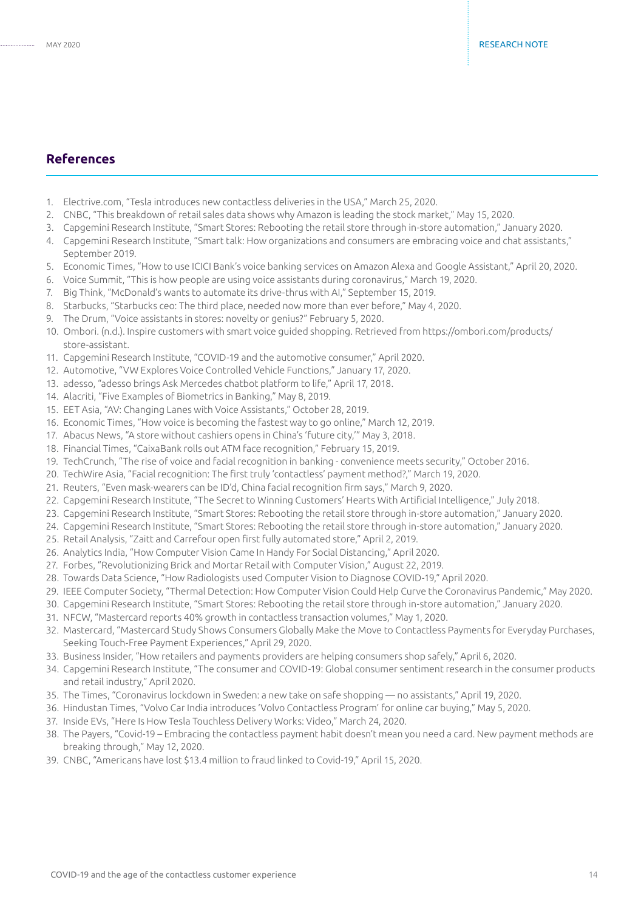# **References**

- 1. Electrive.com, "Tesla introduces new contactless deliveries in the USA," March 25, 2020.
- 2. CNBC, "This breakdown of retail sales data shows why Amazon is leading the stock market," May 15, 2020.
- 3. Capgemini Research Institute, "Smart Stores: Rebooting the retail store through in-store automation," January 2020.
- 4. Capgemini Research Institute, "Smart talk: How organizations and consumers are embracing voice and chat assistants," September 2019.
- 5. Economic Times, "How to use ICICI Bank's voice banking services on Amazon Alexa and Google Assistant," April 20, 2020.
- 6. Voice Summit, "This is how people are using voice assistants during coronavirus," March 19, 2020.
- 7. Big Think, "McDonald's wants to automate its drive-thrus with AI," September 15, 2019.
- 8. Starbucks, "Starbucks ceo: The third place, needed now more than ever before," May 4, 2020.
- 9. The Drum, "Voice assistants in stores: novelty or genius?" February 5, 2020.
- 10. Ombori. (n.d.). Inspire customers with smart voice guided shopping. Retrieved from https://ombori.com/products/ store-assistant.
- 11. Capgemini Research Institute, "COVID-19 and the automotive consumer," April 2020.
- 12. Automotive, "VW Explores Voice Controlled Vehicle Functions," January 17, 2020.
- 13. adesso, "adesso brings Ask Mercedes chatbot platform to life," April 17, 2018.
- 14. Alacriti, "Five Examples of Biometrics in Banking," May 8, 2019.
- 15. EET Asia, "AV: Changing Lanes with Voice Assistants," October 28, 2019.
- 16. Economic Times, "How voice is becoming the fastest way to go online," March 12, 2019.
- 17. Abacus News, "A store without cashiers opens in China's 'future city,'" May 3, 2018.
- 18. Financial Times, "CaixaBank rolls out ATM face recognition," February 15, 2019.
- 19. TechCrunch, "The rise of voice and facial recognition in banking convenience meets security," October 2016.
- 20. TechWire Asia, "Facial recognition: The first truly 'contactless' payment method?," March 19, 2020.
- 21. Reuters, "Even mask-wearers can be ID'd, China facial recognition firm says," March 9, 2020.
- 22. Capgemini Research Institute, "The Secret to Winning Customers' Hearts With Artificial Intelligence," July 2018.
- 23. Capgemini Research Institute, "Smart Stores: Rebooting the retail store through in-store automation," January 2020.
- 24. Capgemini Research Institute, "Smart Stores: Rebooting the retail store through in-store automation," January 2020.
- 25. Retail Analysis, "Zaitt and Carrefour open first fully automated store," April 2, 2019.
- 26. Analytics India, "How Computer Vision Came In Handy For Social Distancing," April 2020.
- 27. Forbes, "Revolutionizing Brick and Mortar Retail with Computer Vision," August 22, 2019.
- 28. Towards Data Science, "How Radiologists used Computer Vision to Diagnose COVID-19," April 2020.
- 29. IEEE Computer Society, "Thermal Detection: How Computer Vision Could Help Curve the Coronavirus Pandemic," May 2020.
- 30. Capgemini Research Institute, "Smart Stores: Rebooting the retail store through in-store automation," January 2020.
- 31. NFCW, "Mastercard reports 40% growth in contactless transaction volumes," May 1, 2020.
- 32. Mastercard, "Mastercard Study Shows Consumers Globally Make the Move to Contactless Payments for Everyday Purchases, Seeking Touch-Free Payment Experiences," April 29, 2020.
- 33. Business Insider, "How retailers and payments providers are helping consumers shop safely," April 6, 2020.
- 34. Capgemini Research Institute, "The consumer and COVID-19: Global consumer sentiment research in the consumer products and retail industry," April 2020.
- 35. The Times, "Coronavirus lockdown in Sweden: a new take on safe shopping no assistants," April 19, 2020.
- 36. Hindustan Times, "Volvo Car India introduces 'Volvo Contactless Program' for online car buying," May 5, 2020.
- 37. Inside EVs, "Here Is How Tesla Touchless Delivery Works: Video," March 24, 2020.
- 38. The Payers, "Covid-19 Embracing the contactless payment habit doesn't mean you need a card. New payment methods are breaking through," May 12, 2020.
- 39. CNBC, "Americans have lost \$13.4 million to fraud linked to Covid-19," April 15, 2020.